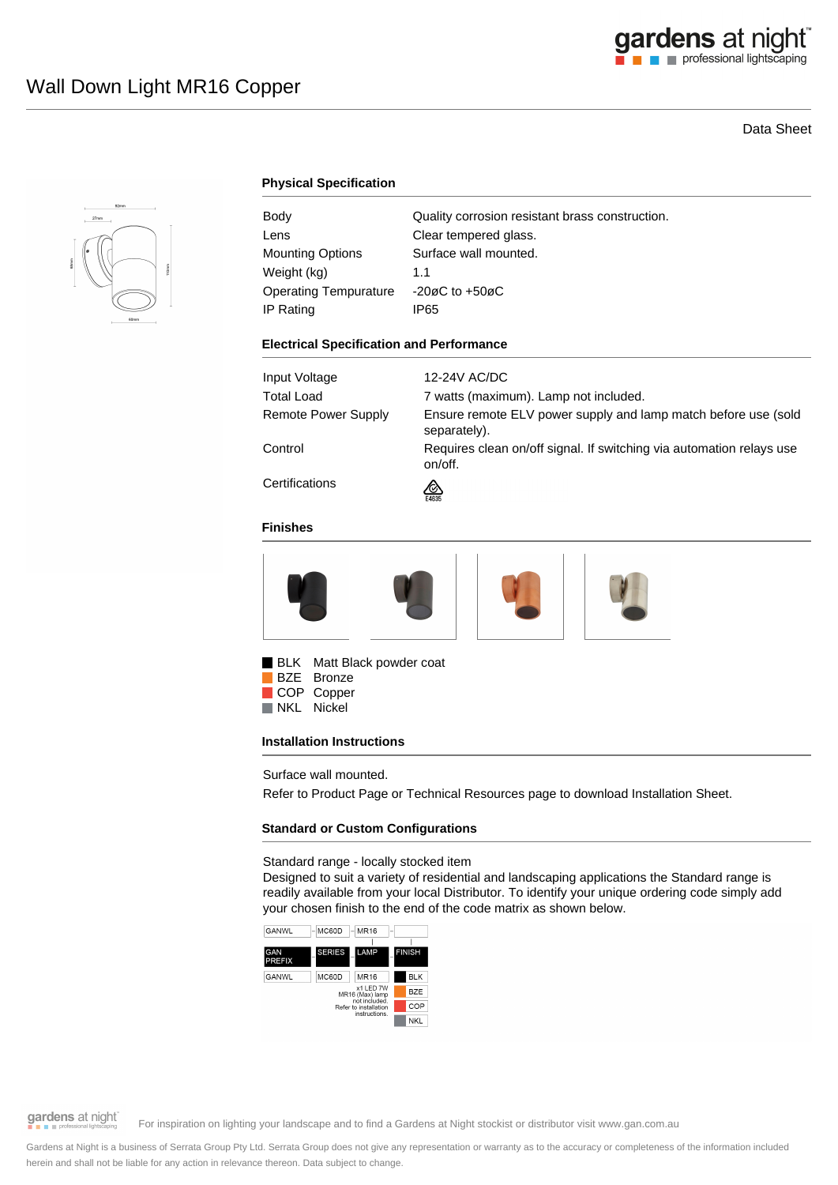# Data Sheet



# **Physical Specification**

| Body                         | Quality corrosion resistant brass construction. |
|------------------------------|-------------------------------------------------|
| Lens                         | Clear tempered glass.                           |
| <b>Mounting Options</b>      | Surface wall mounted.                           |
| Weight (kg)                  | 11                                              |
| <b>Operating Tempurature</b> | $-20\varnothing$ C to $+50\varnothing$ C        |
| IP Rating                    | IP65                                            |

### **Electrical Specification and Performance**

| Input Voltage       | 12-24V AC/DC                                                                    |
|---------------------|---------------------------------------------------------------------------------|
| Total Load          | 7 watts (maximum). Lamp not included.                                           |
| Remote Power Supply | Ensure remote ELV power supply and lamp match before use (sold<br>separately).  |
| Control             | Requires clean on/off signal. If switching via automation relays use<br>on/off. |
| Certifications      | ∞<br>E4635                                                                      |

### **Finishes**



BLK Matt Black powder coat

BZE Bronze COP Copper<br>NKL Nickel Nickel

### **Installation Instructions**

Surface wall mounted.

Refer to Product Page or Technical Resources page to download Installation Sheet.

### **Standard or Custom Configurations**

Standard range - locally stocked item

Designed to suit a variety of residential and landscaping applications the Standard range is readily available from your local Distributor. To identify your unique ordering code simply add your chosen finish to the end of the code matrix as shown below.



# gardens at night

For inspiration on lighting your landscape and to find a Gardens at Night stockist or distributor visit www.gan.com.au

Gardens at Night is a business of Serrata Group Pty Ltd. Serrata Group does not give any representation or warranty as to the accuracy or completeness of the information included herein and shall not be liable for any action in relevance thereon. Data subject to change.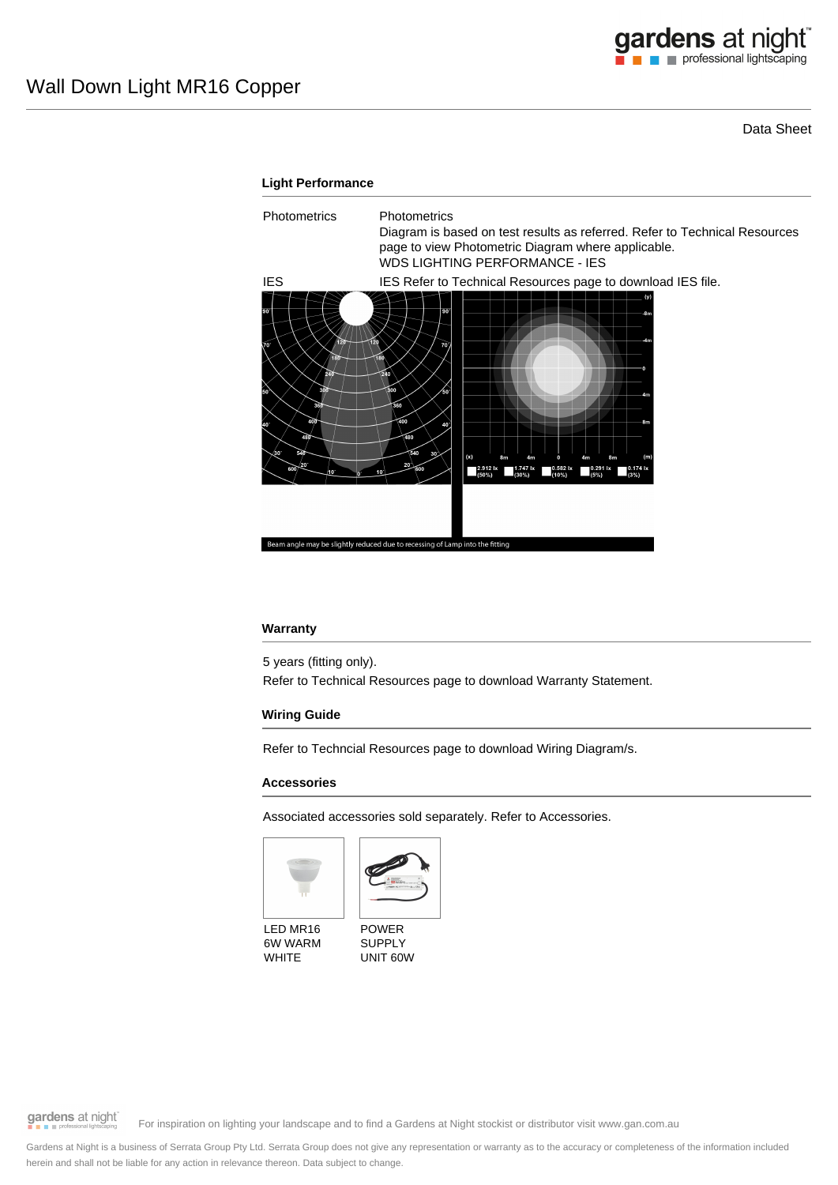Data Sheet

# **Light Performance** Photometrics Photometrics Diagram is based on test results as referred. Refer to Technical Resources page to view Photometric Diagram where applicable. WDS LIGHTING PERFORMANCE - IES IES IES Refer to Technical Resources page to download IES file.  $2.9121$ essing of Lamp into the

### **Warranty**

5 years (fitting only). Refer to Technical Resources page to download Warranty Statement.

## **Wiring Guide**

Refer to Techncial Resources page to download Wiring Diagram/s.

#### **Accessories**

Associated accessories sold separately. Refer to Accessories.





LED MR16 6W WARM **WHITE** 

POWER SUPPLY UNIT 60W

gardens at night

For inspiration on lighting your landscape and to find a Gardens at Night stockist or distributor visit www.gan.com.au

Gardens at Night is a business of Serrata Group Pty Ltd. Serrata Group does not give any representation or warranty as to the accuracy or completeness of the information included herein and shall not be liable for any action in relevance thereon. Data subject to change.